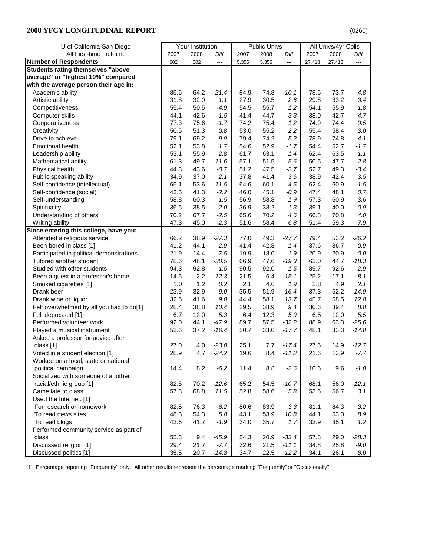| U of California-San Diego                |      | Your Institution |         |       | <b>Public Univs</b> |         |        | All Univs/4yr Colls |         |
|------------------------------------------|------|------------------|---------|-------|---------------------|---------|--------|---------------------|---------|
| All First-time Full-time                 | 2007 | 2008             | Diff    | 2007  | 2008                | Diff    | 2007   | 2008                | Diff    |
| <b>Number of Respondents</b>             | 602  | 602              | ---     | 5,356 | 5,356               | ---     | 27,418 | 27,418              | ---     |
| <b>Students rating themselves "above</b> |      |                  |         |       |                     |         |        |                     |         |
| average" or "highest 10%" compared       |      |                  |         |       |                     |         |        |                     |         |
| with the average person their age in:    |      |                  |         |       |                     |         |        |                     |         |
| Academic ability                         | 85.6 | 64.2             | $-21.4$ | 84.9  | 74.8                | $-10.1$ | 78.5   | 73.7                | $-4.8$  |
| Artistic ability                         | 31.8 | 32.9             | 1.1     | 27.9  | 30.5                | 2.6     | 29.8   | 33.2                | 3.4     |
| Competitiveness                          | 55.4 | 50.5             | $-4.9$  | 54.5  | 55.7                | 1.2     | 54.1   | 55.9                | $1.8\,$ |
| Computer skills                          | 44.1 | 42.6             | $-1.5$  | 41.4  | 44.7                | 3.3     | 38.0   | 42.7                | 4.7     |
| Cooperativeness                          | 77.3 | 75.6             | $-1.7$  | 74.2  | 75.4                | 1.2     | 74.9   | 74.4                | $-0.5$  |
| Creativity                               | 50.5 | 51.3             | 0.8     | 53.0  | 55.2                | 2.2     | 55.4   | 58.4                | $3.0\,$ |
| Drive to achieve                         | 79.1 | 69.2             | $-9.9$  | 79.4  | 74.2                | $-5.2$  | 78.9   | 74.8                | $-4.1$  |
| <b>Emotional health</b>                  | 52.1 | 53.8             | 1.7     | 54.6  | 52.9                | $-1.7$  | 54.4   | 52.7                | $-1.7$  |
| Leadership ability                       | 53.1 | 55.9             | 2.8     | 61.7  | 63.1                | 1.4     | 62.4   | 63.5                | 1.1     |
| Mathematical ability                     | 61.3 | 49.7             | $-11.6$ | 57.1  | 51.5                | $-5.6$  | 50.5   | 47.7                | $-2.8$  |
| Physical health                          | 44.3 | 43.6             | $-0.7$  | 51.2  | 47.5                | $-3.7$  | 52.7   | 49.3                | $-3.4$  |
| Public speaking ability                  | 34.9 | 37.0             | 2.1     | 37.8  | 41.4                | 3.6     | 38.9   | 42.4                | 3.5     |
| Self-confidence (intellectual)           | 65.1 | 53.6             | $-11.5$ | 64.6  | 60.1                | $-4.5$  | 62.4   | 60.9                | $-1.5$  |
| Self-confidence (social)                 | 43.5 | 41.3             | $-2.2$  | 46.0  | 45.1                | $-0.9$  | 47.4   | 48.1                | $0.7\,$ |
| Self-understanding                       | 58.8 | 60.3             | 1.5     | 56.9  | 58.8                | 1.9     | 57.3   | 60.9                | 3.6     |
| Spirituality                             | 36.5 | 38.5             | 2.0     | 36.9  | 38.2                | 1.3     | 39.1   | 40.0                | $0.9\,$ |
| Understanding of others                  | 70.2 | 67.7             | $-2.5$  | 65.6  | 70.2                | 4.6     | 66.8   | 70.8                | 4.0     |
| Writing ability                          | 47.3 | 45.0             | $-2.3$  | 51.6  | 58.4                | 6.8     | 51.4   | 59.3                | 7.9     |
| Since entering this college, have you:   |      |                  |         |       |                     |         |        |                     |         |
| Attended a religious service             | 66.2 | 38.9             | $-27.3$ | 77.0  | 49.3                | $-27.7$ | 79.4   | 53.2                | $-26.2$ |
| Been bored in class [1]                  | 41.2 | 44.1             | 2.9     | 41.4  | 42.8                | 1.4     | 37.6   | 36.7                | $-0.9$  |
| Participated in political demonstrations | 21.9 | 14.4             | $-7.5$  | 19.9  | 18.0                | $-1.9$  | 20.9   | 20.9                | $0.0\,$ |
| Tutored another student                  | 78.6 | 48.1             | $-30.5$ | 66.9  | 47.6                | $-19.3$ | 63.0   | 44.7                | $-18.3$ |
| Studied with other students              | 94.3 | 92.8             | $-1.5$  | 90.5  | 92.0                | 1.5     | 89.7   | 92.6                | 2.9     |
| Been a guest in a professor's home       | 14.5 | 2.2              | $-12.3$ | 21.5  | 6.4                 | $-15.1$ | 25.2   | 17.1                | $-8.1$  |
| Smoked cigarettes [1]                    | 1.0  | 1.2              | 0.2     | 2.1   | 4.0                 | 1.9     | 2.8    | 4.9                 | 2.1     |
| Drank beer                               | 23.9 | 32.9             | $9.0\,$ | 35.5  | 51.9                | 16.4    | 37.3   | 52.2                | 14.9    |
| Drank wine or liquor                     | 32.6 | 41.6             | 9.0     | 44.4  | 58.1                | 13.7    | 45.7   | 58.5                | 12.8    |
| Felt overwhelmed by all you had to do[1] | 28.4 | 38.8             | 10.4    | 29.5  | 38.9                | 9.4     | 30.6   | 39.4                | $8.8\,$ |
| Felt depressed [1]                       | 6.7  | 12.0             | 5.3     | 6.4   | 12.3                | 5.9     | 6.5    | 12.0                | 5.5     |
| Performed volunteer work                 | 92.0 | 44.1             | $-47.9$ | 89.7  | 57.5                | $-32.2$ | 88.9   | 63.3                | $-25.6$ |
| Played a musical instrument              | 53.6 | 37.2             | $-16.4$ | 50.7  | 33.0                | $-17.7$ | 48.1   | 33.3                | $-14.8$ |
| Asked a professor for advice after       |      |                  |         |       |                     |         |        |                     |         |
| class [1]                                | 27.0 | 4.0              | $-23.0$ | 25.1  | 7.7                 | $-17.4$ | 27.6   | 14.9                | $-12.7$ |
| Voted in a student election [1]          | 28.9 | 4.7              | $-24.2$ | 19.6  | 8.4                 | $-11.2$ | 21.6   | 13.9                | $-7.7$  |
| Worked on a local, state or national     |      |                  |         |       |                     |         |        |                     |         |
| political campaign                       | 14.4 | 8.2              | $-6.2$  | 11.4  | 8.8                 | $-2.6$  | 10.6   | 9.6                 | $-1.0$  |
| Socialized with someone of another       |      |                  |         |       |                     |         |        |                     |         |
| racial/ethnic group [1]                  | 82.8 | 70.2             | $-12.6$ | 65.2  | 54.5                | $-10.7$ | 68.1   | 56.0                | $-12.1$ |
| Came late to class                       | 57.3 | 68.8             | 11.5    | 52.8  | 58.6                | 5.8     | 53.6   | 56.7                | 3.1     |
| Used the Internet: [1]                   |      |                  |         |       |                     |         |        |                     |         |
| For research or homework                 | 82.5 | 76.3             | $-6.2$  | 80.6  | 83.9                | 3.3     | 81.1   | 84.3                | 3.2     |
| To read news sites                       | 48.5 | 54.3             | $5.8\,$ | 43.1  | 53.9                | 10.8    | 44.1   | 53.0                | $8.9\,$ |
| To read blogs                            | 43.6 | 41.7             | $-1.9$  | 34.0  | 35.7                | 1.7     | 33.9   | 35.1                | 1.2     |
| Performed community service as part of   |      |                  |         |       |                     |         |        |                     |         |
| class                                    | 55.3 | 9.4              | $-45.9$ | 54.3  | 20.9                | $-33.4$ | 57.3   | 29.0                | $-28.3$ |
| Discussed religion [1]                   | 29.4 | 21.7             | $-7.7$  | 32.6  | 21.5                | $-11.1$ | 34.8   | 25.8                | $-9.0$  |
| Discussed politics [1]                   | 35.5 | 20.7             | $-14.8$ | 34.7  | 22.5                | $-12.2$ | 34.1   | 26.1                | $-8.0$  |

[1] Percentage reporting "Frequently" only. All other results represent the percentage marking "Frequently" or "Occasionally".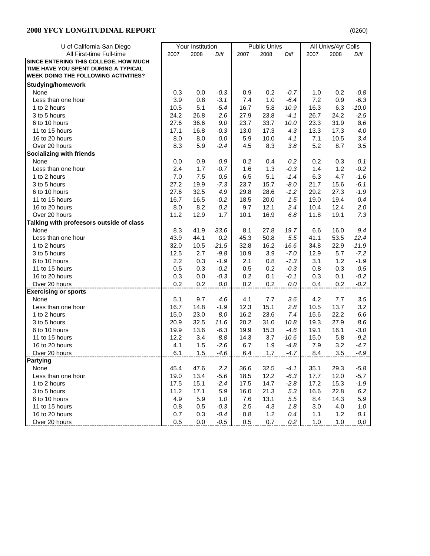| 0260 |
|------|
|------|

| U of California-San Diego                   |      | Your Institution |         |      | <b>Public Univs</b> |         |      | All Univs/4yr Colls |         |
|---------------------------------------------|------|------------------|---------|------|---------------------|---------|------|---------------------|---------|
| All First-time Full-time                    | 2007 | 2008             | Diff    | 2007 | 2008                | Diff    | 2007 | 2008                | Diff    |
| SINCE ENTERING THIS COLLEGE, HOW MUCH       |      |                  |         |      |                     |         |      |                     |         |
| TIME HAVE YOU SPENT DURING A TYPICAL        |      |                  |         |      |                     |         |      |                     |         |
| <b>WEEK DOING THE FOLLOWING ACTIVITIES?</b> |      |                  |         |      |                     |         |      |                     |         |
| <b>Studying/homework</b>                    |      |                  |         |      |                     |         |      |                     |         |
| None                                        | 0.3  | 0.0              | $-0.3$  | 0.9  | 0.2                 | $-0.7$  | 1.0  | 0.2                 | $-0.8$  |
| Less than one hour                          | 3.9  | 0.8              | $-3.1$  | 7.4  | 1.0                 | $-6.4$  | 7.2  | 0.9                 | $-6.3$  |
| 1 to 2 hours                                | 10.5 | 5.1              | $-5.4$  | 16.7 | 5.8                 | $-10.9$ | 16.3 | 6.3                 | $-10.0$ |
| 3 to 5 hours                                | 24.2 | 26.8             | 2.6     | 27.9 | 23.8                | $-4.1$  | 26.7 | 24.2                | $-2.5$  |
| 6 to 10 hours                               | 27.6 | 36.6             | $9.0\,$ | 23.7 | 33.7                | 10.0    | 23.3 | 31.9                | 8.6     |
| 11 to 15 hours                              | 17.1 | 16.8             | $-0.3$  | 13.0 | 17.3                | 4.3     | 13.3 | 17.3                | 4.0     |
| 16 to 20 hours                              | 8.0  | 8.0              | 0.0     | 5.9  | 10.0                | 4.1     | 7.1  | 10.5                | 3.4     |
| Over 20 hours                               | 8.3  | 5.9              | $-2.4$  | 4.5  | 8.3                 | 3.8     | 5.2  | 8.7                 | 3.5     |
| <b>Socializing with friends</b>             |      |                  |         |      |                     |         |      |                     |         |
| None                                        | 0.0  | 0.9              | 0.9     | 0.2  | 0.4                 | 0.2     | 0.2  | 0.3                 | 0.1     |
| Less than one hour                          | 2.4  | 1.7              | $-0.7$  | 1.6  | 1.3                 | $-0.3$  | 1.4  | 1.2                 | $-0.2$  |
| 1 to 2 hours                                | 7.0  | 7.5              | 0.5     | 6.5  | 5.1                 | $-1.4$  | 6.3  | 4.7                 | $-1.6$  |
| 3 to 5 hours                                | 27.2 | 19.9             | $-7.3$  | 23.7 | 15.7                | $-8.0$  | 21.7 | 15.6                | $-6.1$  |
| 6 to 10 hours                               | 27.6 | 32.5             | 4.9     | 29.8 | 28.6                | $-1.2$  | 29.2 | 27.3                | $-1.9$  |
| 11 to 15 hours                              | 16.7 | 16.5             | $-0.2$  | 18.5 | 20.0                | 1.5     | 19.0 | 19.4                | 0.4     |
| 16 to 20 hours                              | 8.0  | 8.2              | 0.2     | 9.7  | 12.1                | 2.4     | 10.4 | 12.4                | 2.0     |
| Over 20 hours                               | 11.2 | 12.9             | 1.7     | 10.1 | 16.9                | 6.8     | 11.8 | 19.1                | 7.3     |
| Talking with profeesors outside of class    |      |                  |         |      |                     |         |      |                     |         |
| None                                        | 8.3  | 41.9             | 33.6    | 8.1  | 27.8                | 19.7    | 6.6  | 16.0                | 9.4     |
| Less than one hour                          | 43.9 | 44.1             | $0.2\,$ | 45.3 | 50.8                | 5.5     | 41.1 | 53.5                | 12.4    |
| 1 to 2 hours                                | 32.0 | 10.5             | $-21.5$ | 32.8 | 16.2                | $-16.6$ | 34.8 | 22.9                | $-11.9$ |
| 3 to 5 hours                                | 12.5 | 2.7              | $-9.8$  | 10.9 | 3.9                 | $-7.0$  | 12.9 | 5.7                 | $-7.2$  |
| 6 to 10 hours                               | 2.2  | 0.3              | $-1.9$  | 2.1  | 0.8                 | $-1.3$  | 3.1  | 1.2                 | $-1.9$  |
| 11 to 15 hours                              | 0.5  | 0.3              | $-0.2$  | 0.5  | 0.2                 | $-0.3$  | 0.8  | 0.3                 | $-0.5$  |
| 16 to 20 hours                              | 0.3  | 0.0              | $-0.3$  | 0.2  | 0.1                 | $-0.1$  | 0.3  | 0.1                 | $-0.2$  |
| Over 20 hours                               | 0.2  | 0.2              | $0.0\,$ | 0.2  | 0.2                 | 0.0     | 0.4  | 0.2                 | $-0.2$  |
| <b>Exercising or sports</b>                 |      |                  |         |      |                     |         |      |                     |         |
| None                                        | 5.1  | 9.7              | 4.6     | 4.1  | 7.7                 | 3.6     | 4.2  | 7.7                 | 3.5     |
| Less than one hour                          | 16.7 | 14.8             | $-1.9$  | 12.3 | 15.1                | 2.8     | 10.5 | 13.7                | 3.2     |
| 1 to 2 hours                                | 15.0 | 23.0             | 8.0     | 16.2 | 23.6                | 7.4     | 15.6 | 22.2                | 6.6     |
| 3 to 5 hours                                | 20.9 | 32.5             | 11.6    | 20.2 | 31.0                | 10.8    | 19.3 | 27.9                | 8.6     |
| 6 to 10 hours                               | 19.9 | 13.6             | $-6.3$  | 19.9 | 15.3                | $-4.6$  | 19.1 | 16.1                | $-3.0$  |
| 11 to 15 hours                              | 12.2 | 3.4              | $-8.8$  | 14.3 | 3.7                 | $-10.6$ | 15.0 | 5.8                 | $-9.2$  |
| 16 to 20 hours                              | 4.1  | 1.5              | $-2.6$  | 6.7  | 1.9                 | $-4.8$  | 7.9  | 3.2                 | $-4.7$  |
| Over 20 hours                               | 6.1  | 1.5              | $-4.6$  | 6.4  | 1.7                 | $-4.7$  | 8.4  | 3.5                 | $-4.9$  |
| <b>Partying</b>                             |      |                  |         |      |                     |         |      |                     |         |
| None                                        | 45.4 | 47.6             | 2.2     | 36.6 | 32.5                | $-4.1$  | 35.1 | 29.3                | $-5.8$  |
| Less than one hour                          | 19.0 | 13.4             | $-5.6$  | 18.5 | 12.2                | $-6.3$  | 17.7 | 12.0                | $-5.7$  |
| 1 to 2 hours                                | 17.5 | 15.1             | $-2.4$  | 17.5 | 14.7                | $-2.8$  | 17.2 | 15.3                | $-1.9$  |
| 3 to 5 hours                                | 11.2 | 17.1             | 5.9     | 16.0 | 21.3                | 5.3     | 16.6 | 22.8                | 6.2     |
| 6 to 10 hours                               | 4.9  | 5.9              | $1.0$   | 7.6  | 13.1                | 5.5     | 8.4  | 14.3                | 5.9     |
| 11 to 15 hours                              | 0.8  | 0.5              | $-0.3$  | 2.5  | 4.3                 | 1.8     | 3.0  | 4.0                 | $1.0$   |
| 16 to 20 hours                              | 0.7  | 0.3              | $-0.4$  | 0.8  | 1.2                 | 0.4     | 1.1  | 1.2                 | 0.1     |
| Over 20 hours                               | 0.5  | $0.0\,$          | $-0.5$  | 0.5  | 0.7                 | $0.2\,$ | 1.0  | 1.0                 | 0.0     |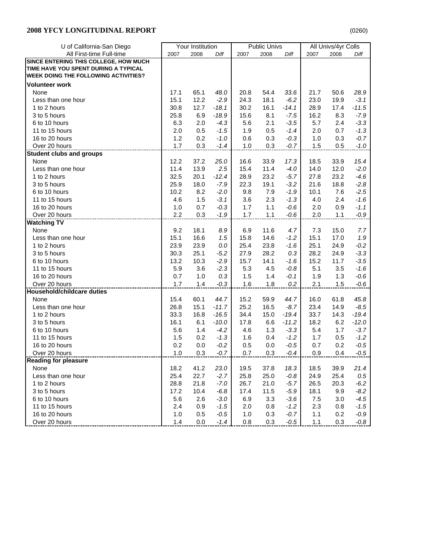## **2008 YFCY LONGITUDINAL REPORT**

| 0260) |  |
|-------|--|
|-------|--|

| U of California-San Diego                   |      | Your Institution |         |      | <b>Public Univs</b> |         |      | All Univs/4yr Colls |         |
|---------------------------------------------|------|------------------|---------|------|---------------------|---------|------|---------------------|---------|
| All First-time Full-time                    | 2007 | 2008             | Diff    | 2007 | 2008                | Diff    | 2007 | 2008                | Diff    |
| SINCE ENTERING THIS COLLEGE, HOW MUCH       |      |                  |         |      |                     |         |      |                     |         |
| TIME HAVE YOU SPENT DURING A TYPICAL        |      |                  |         |      |                     |         |      |                     |         |
| <b>WEEK DOING THE FOLLOWING ACTIVITIES?</b> |      |                  |         |      |                     |         |      |                     |         |
| <b>Volunteer work</b>                       |      |                  |         |      |                     |         |      |                     |         |
| None                                        | 17.1 | 65.1             | 48.0    | 20.8 | 54.4                | 33.6    | 21.7 | 50.6                | 28.9    |
| Less than one hour                          | 15.1 | 12.2             | $-2.9$  | 24.3 | 18.1                | $-6.2$  | 23.0 | 19.9                | $-3.1$  |
| 1 to 2 hours                                | 30.8 | 12.7             | $-18.1$ | 30.2 | 16.1                | $-14.1$ | 28.9 | 17.4                | $-11.5$ |
| 3 to 5 hours                                | 25.8 | 6.9              | $-18.9$ | 15.6 | 8.1                 | $-7.5$  | 16.2 | 8.3                 | $-7.9$  |
| 6 to 10 hours                               | 6.3  | 2.0              | $-4.3$  | 5.6  | 2.1                 | $-3.5$  | 5.7  | 2.4                 | $-3.3$  |
| 11 to 15 hours                              | 2.0  | 0.5              | $-1.5$  | 1.9  | 0.5                 | $-1.4$  | 2.0  | 0.7                 | $-1.3$  |
| 16 to 20 hours                              | 1.2  | 0.2              | $-1.0$  | 0.6  | 0.3                 | $-0.3$  | 1.0  | 0.3                 | $-0.7$  |
| Over 20 hours                               | 1.7  | 0.3              | $-1.4$  | 1.0  | 0.3                 | $-0.7$  | 1.5  | 0.5                 | $-1.0$  |
| <b>Student clubs and groups</b>             |      |                  |         |      |                     |         |      |                     |         |
| None                                        | 12.2 | 37.2             | 25.0    | 16.6 | 33.9                | 17.3    | 18.5 | 33.9                | 15.4    |
| Less than one hour                          | 11.4 | 13.9             | 2.5     | 15.4 | 11.4                | $-4.0$  | 14.0 | 12.0                | $-2.0$  |
| 1 to 2 hours                                | 32.5 | 20.1             | $-12.4$ | 28.9 | 23.2                | $-5.7$  | 27.8 | 23.2                | $-4.6$  |
| 3 to 5 hours                                | 25.9 | 18.0             | $-7.9$  | 22.3 | 19.1                | $-3.2$  | 21.6 | 18.8                | $-2.8$  |
| 6 to 10 hours                               | 10.2 | 8.2              | $-2.0$  | 9.8  | 7.9                 | $-1.9$  | 10.1 | 7.6                 | $-2.5$  |
| 11 to 15 hours                              | 4.6  | 1.5              | $-3.1$  | 3.6  | 2.3                 | $-1.3$  | 4.0  | 2.4                 | $-1.6$  |
| 16 to 20 hours                              | 1.0  | 0.7              | $-0.3$  | 1.7  | 1.1                 | $-0.6$  | 2.0  | 0.9                 | $-1.1$  |
| Over 20 hours                               | 2.2  | 0.3              | $-1.9$  | 1.7  | 1.1                 | $-0.6$  | 2.0  | 1.1                 | $-0.9$  |
| <b>Watching TV</b>                          |      |                  |         |      |                     |         |      |                     |         |
| None                                        | 9.2  | 18.1             | $8.9\,$ | 6.9  | 11.6                | 4.7     | 7.3  | 15.0                | 7.7     |
| Less than one hour                          | 15.1 | 16.6             | 1.5     | 15.8 | 14.6                | $-1.2$  | 15.1 | 17.0                | 1.9     |
| 1 to 2 hours                                | 23.9 | 23.9             | 0.0     | 25.4 | 23.8                | $-1.6$  | 25.1 | 24.9                | $-0.2$  |
| 3 to 5 hours                                | 30.3 | 25.1             | $-5.2$  | 27.9 | 28.2                | 0.3     | 28.2 | 24.9                | $-3.3$  |
| 6 to 10 hours                               | 13.2 | 10.3             | $-2.9$  | 15.7 | 14.1                | $-1.6$  | 15.2 | 11.7                | $-3.5$  |
| 11 to 15 hours                              | 5.9  | 3.6              | $-2.3$  | 5.3  | 4.5                 | $-0.8$  | 5.1  | 3.5                 | $-1.6$  |
| 16 to 20 hours                              | 0.7  | 1.0              | 0.3     | 1.5  | 1.4                 | $-0.1$  | 1.9  | 1.3                 | $-0.6$  |
| Over 20 hours                               | 1.7  | 1.4              | $-0.3$  | 1.6  | 1.8                 | 0.2     | 2.1  | 1.5                 | $-0.6$  |
| <b>Household/childcare duties</b>           |      |                  |         |      |                     |         |      |                     |         |
| None                                        | 15.4 | 60.1             | 44.7    | 15.2 | 59.9                | 44.7    | 16.0 | 61.8                | 45.8    |
| Less than one hour                          | 26.8 | 15.1             | $-11.7$ | 25.2 | 16.5                | $-8.7$  | 23.4 | 14.9                | $-8.5$  |
| 1 to 2 hours                                | 33.3 | 16.8             | $-16.5$ | 34.4 | 15.0                | $-19.4$ | 33.7 | 14.3                | $-19.4$ |
| 3 to 5 hours                                | 16.1 | 6.1              | $-10.0$ | 17.8 | 6.6                 | $-11.2$ | 18.2 | 6.2                 | $-12.0$ |
| 6 to 10 hours                               | 5.6  | 1.4              | $-4.2$  | 4.6  | 1.3                 | $-3.3$  | 5.4  | 1.7                 | $-3.7$  |
| 11 to 15 hours                              | 1.5  | 0.2              | $-1.3$  | 1.6  | 0.4                 | $-1.2$  | 1.7  | 0.5                 | $-1.2$  |
| 16 to 20 hours                              | 0.2  | 0.0              | $-0.2$  | 0.5  | 0.0                 | $-0.5$  | 0.7  | 0.2                 | $-0.5$  |
| Over 20 hours                               | 1.0  | 0.3              | $-0.7$  | 0.7  | 0.3                 | $-0.4$  | 0.9  | 0.4                 | $-0.5$  |
| <b>Reading for pleasure</b>                 |      |                  |         |      |                     |         |      |                     |         |
| None                                        | 18.2 | 41.2             | 23.0    | 19.5 | 37.8                | 18.3    | 18.5 | 39.9                | 21.4    |
| Less than one hour                          | 25.4 | 22.7             | $-2.7$  | 25.8 | 25.0                | $-0.8$  | 24.9 | 25.4                | $0.5\,$ |
| 1 to 2 hours                                | 28.8 | 21.8             | $-7.0$  | 26.7 | 21.0                | $-5.7$  | 26.5 | 20.3                | $-6.2$  |
| 3 to 5 hours                                | 17.2 | 10.4             | $-6.8$  | 17.4 | 11.5                | $-5.9$  | 18.1 | 9.9                 | $-8.2$  |
| 6 to 10 hours                               | 5.6  | 2.6              | $-3.0$  | 6.9  | 3.3                 | $-3.6$  | 7.5  | 3.0                 | $-4.5$  |
| 11 to 15 hours                              | 2.4  | 0.9              | $-1.5$  | 2.0  | 0.8                 | $-1.2$  | 2.3  | 0.8                 | $-1.5$  |
| 16 to 20 hours                              | 1.0  | 0.5              | $-0.5$  | 1.0  | 0.3                 | $-0.7$  | 1.1  | 0.2                 | $-0.9$  |
| Over 20 hours                               | 1.4  | $0.0\,$          | $-1.4$  | 0.8  | 0.3                 | $-0.5$  | 1.1  | 0.3                 | -0.8    |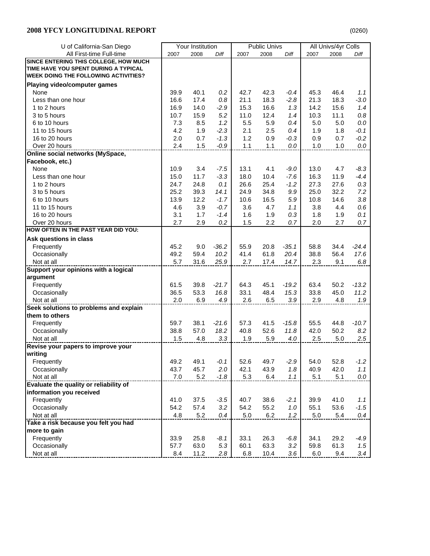| U of California-San Diego                   |      | Your Institution |         |         | <b>Public Univs</b> |         |         | All Univs/4yr Colls |         |
|---------------------------------------------|------|------------------|---------|---------|---------------------|---------|---------|---------------------|---------|
| All First-time Full-time                    | 2007 | 2008             | Diff    | 2007    | 2008                | Diff    | 2007    | 2008                | Diff    |
| SINCE ENTERING THIS COLLEGE, HOW MUCH       |      |                  |         |         |                     |         |         |                     |         |
| TIME HAVE YOU SPENT DURING A TYPICAL        |      |                  |         |         |                     |         |         |                     |         |
| <b>WEEK DOING THE FOLLOWING ACTIVITIES?</b> |      |                  |         |         |                     |         |         |                     |         |
| Playing video/computer games                |      |                  |         |         |                     |         |         |                     |         |
| None                                        | 39.9 | 40.1             | 0.2     | 42.7    | 42.3                | $-0.4$  | 45.3    | 46.4                | 1.1     |
| Less than one hour                          | 16.6 | 17.4             | 0.8     | 21.1    | 18.3                | $-2.8$  | 21.3    | 18.3                | $-3.0$  |
| 1 to 2 hours                                | 16.9 | 14.0             | $-2.9$  | 15.3    | 16.6                | 1.3     | 14.2    | 15.6                | 1.4     |
| 3 to 5 hours                                | 10.7 | 15.9             | 5.2     | 11.0    | 12.4                | 1.4     | 10.3    | 11.1                | $0.8\,$ |
| 6 to 10 hours                               | 7.3  | 8.5              | 1.2     | 5.5     | 5.9                 | 0.4     | 5.0     | 5.0                 | $0.0\,$ |
| 11 to 15 hours                              | 4.2  | 1.9              | $-2.3$  | 2.1     | 2.5                 | 0.4     | 1.9     | 1.8                 | $-0.1$  |
| 16 to 20 hours                              | 2.0  | 0.7              | $-1.3$  | 1.2     | 0.9                 | $-0.3$  | 0.9     | 0.7                 | $-0.2$  |
| Over 20 hours                               | 2.4  | 1.5              | $-0.9$  | 1.1     | 1.1                 | 0.0     | 1.0     | 1.0                 | $0.0\,$ |
| Online social networks (MySpace,            |      |                  |         |         |                     |         |         |                     |         |
| Facebook, etc.)                             |      |                  |         |         |                     |         |         |                     |         |
| None                                        | 10.9 | 3.4              | $-7.5$  | 13.1    | 4.1                 | $-9.0$  | 13.0    | 4.7                 | $-8.3$  |
| Less than one hour                          | 15.0 | 11.7             | $-3.3$  | 18.0    | 10.4                | $-7.6$  | 16.3    | 11.9                | $-4.4$  |
| 1 to 2 hours                                | 24.7 | 24.8             | 0.1     | 26.6    | 25.4                | $-1.2$  | 27.3    | 27.6                | $0.3\,$ |
| 3 to 5 hours                                | 25.2 | 39.3             | 14.1    | 24.9    | 34.8                | 9.9     | 25.0    | 32.2                | 7.2     |
|                                             |      |                  |         |         |                     |         |         |                     | 3.8     |
| 6 to 10 hours                               | 13.9 | 12.2             | $-1.7$  | 10.6    | 16.5                | 5.9     | 10.8    | 14.6                |         |
| 11 to 15 hours                              | 4.6  | 3.9              | $-0.7$  | 3.6     | 4.7                 | 1.1     | 3.8     | 4.4                 | $0.6\,$ |
| 16 to 20 hours<br>Over 20 hours             | 3.1  | 1.7              | $-1.4$  | 1.6     | 1.9                 | 0.3     | 1.8     | 1.9                 | 0.1     |
| HOW OFTEN IN THE PAST YEAR DID YOU:         | 2.7  | 2.9              | 0.2     | 1.5     | 2.2                 | 0.7     | 2.0     | 2.7                 | 0.7     |
|                                             |      |                  |         |         |                     |         |         |                     |         |
| Ask questions in class                      |      |                  |         |         |                     |         |         |                     |         |
| Frequently                                  | 45.2 | 9.0              | $-36.2$ | 55.9    | 20.8                | $-35.1$ | 58.8    | 34.4                | $-24.4$ |
| Occasionally                                | 49.2 | 59.4             | 10.2    | 41.4    | 61.8                | 20.4    | 38.8    | 56.4                | 17.6    |
| Not at all                                  | 5.7  | 31.6             | 25.9    | 2.7     | 17.4                | 14.7    | 2.3     | 9.1                 | 6.8     |
| Support your opinions with a logical        |      |                  |         |         |                     |         |         |                     |         |
| argument                                    |      |                  |         |         |                     |         |         |                     |         |
| Frequently                                  | 61.5 | 39.8             | $-21.7$ | 64.3    | 45.1                | $-19.2$ | 63.4    | 50.2                | $-13.2$ |
| Occasionally                                | 36.5 | 53.3             | 16.8    | 33.1    | 48.4                | 15.3    | 33.8    | 45.0                | 11.2    |
| Not at all                                  | 2.0  | 6.9              | 4.9     | 2.6     | 6.5                 | 3.9     | 2.9     | 4.8                 | 1.9     |
| Seek solutions to problems and explain      |      |                  |         |         |                     |         |         |                     |         |
| them to others                              |      |                  |         |         |                     |         |         |                     |         |
| Frequently                                  | 59.7 | 38.1             | $-21.6$ | 57.3    | 41.5                | $-15.8$ | 55.5    | 44.8                | $-10.7$ |
| Occasionally                                | 38.8 | 57.0             | 18.2    | 40.8    | 52.6                | 11.8    | 42.0    | 50.2                | 8.2     |
| Not at all                                  | 1.5  | 4.8              | 3.3     | 1.9     | 5.9                 | 4.0     | 2.5     | 5.0                 | 2.5     |
| Revise your papers to improve your          |      |                  |         |         |                     |         |         |                     |         |
| writing                                     |      |                  |         |         |                     |         |         |                     |         |
| Frequently                                  | 49.2 | 49.1             | $-0.1$  | 52.6    | 49.7                | $-2.9$  | 54.0    | 52.8                | $-1.2$  |
| Occasionally                                | 43.7 | 45.7             | 2.0     | 42.1    | 43.9                | 1.8     | 40.9    | 42.0                | 1.1     |
| Not at all                                  | 7.0  | $5.2\,$          | $-1.8$  | 5.3     | 6.4                 | 1.1     | 5.1     | 5.1                 | $0.0\,$ |
| Evaluate the quality or reliability of      |      |                  |         |         |                     |         |         |                     |         |
| information you received                    |      |                  |         |         |                     |         |         |                     |         |
| Frequently                                  | 41.0 | 37.5             | $-3.5$  | 40.7    | 38.6                | $-2.1$  | 39.9    | 41.0                | 1.1     |
| Occasionally                                | 54.2 | 57.4             | 3.2     | 54.2    | 55.2                | $1.0$   | 55.1    | 53.6                | $-1.5$  |
| Not at all                                  | 4.8  | 5.2              | 0.4     | $5.0\,$ | 6.2                 | 1.2     | $5.0\,$ | 5.4                 | 0.4     |
| Take a risk because you felt you had        |      |                  |         |         |                     |         |         |                     |         |
| more to gain                                |      |                  |         |         |                     |         |         |                     |         |
| Frequently                                  | 33.9 | 25.8             | $-8.1$  | 33.1    | 26.3                | $-6.8$  | 34.1    | 29.2                | $-4.9$  |
| Occasionally                                | 57.7 | 63.0             | 5.3     | 60.1    | 63.3                | 3.2     | 59.8    | 61.3                | 1.5     |
| Not at all                                  | 8.4  | 11.2             | 2.8     | 6.8     | 10.4                | 3.6     | 6.0     | 9.4                 | 3.4     |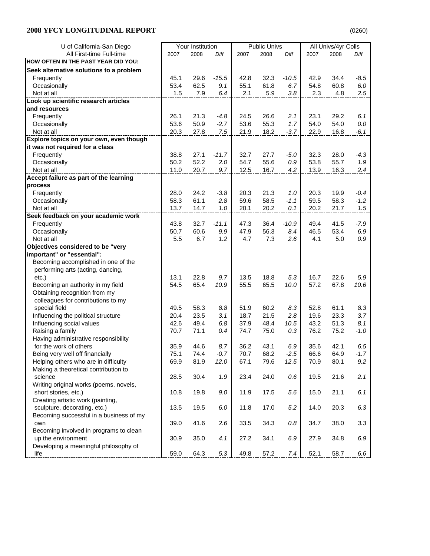## **2008 YFCY LONGITUDINAL REPORT**

|--|

| U of California-San Diego               |      | Your Institution |         |      | <b>Public Univs</b> |         |      | All Univs/4yr Colls |         |
|-----------------------------------------|------|------------------|---------|------|---------------------|---------|------|---------------------|---------|
| All First-time Full-time                | 2007 | 2008             | Diff    | 2007 | 2008                | Diff    | 2007 | 2008                | Diff    |
| HOW OFTEN IN THE PAST YEAR DID YOU:     |      |                  |         |      |                     |         |      |                     |         |
| Seek alternative solutions to a problem |      |                  |         |      |                     |         |      |                     |         |
| Frequently                              | 45.1 | 29.6             | $-15.5$ | 42.8 | 32.3                | $-10.5$ | 42.9 | 34.4                | $-8.5$  |
| Occasionally                            | 53.4 | 62.5             | 9.1     | 55.1 | 61.8                | 6.7     | 54.8 | 60.8                | 6.0     |
| Not at all                              | 1.5  | 7.9              | 6.4     | 2.1  | 5.9                 | 3.8     | 2.3  | 4.8                 | $2.5\,$ |
| Look up scientific research articles    |      |                  |         |      |                     |         |      |                     |         |
| and resources                           |      |                  |         |      |                     |         |      |                     |         |
| Frequently                              | 26.1 | 21.3             | $-4.8$  | 24.5 | 26.6                | 2.1     | 23.1 | 29.2                | 6.1     |
| Occasionally                            | 53.6 | 50.9             | $-2.7$  | 53.6 | 55.3                | 1.7     | 54.0 | 54.0                | $0.0\,$ |
| Not at all                              | 20.3 | 27.8             | 7.5     | 21.9 | 18.2                | $-3.7$  | 22.9 | 16.8                | $-6.1$  |
|                                         |      |                  |         |      |                     |         |      |                     |         |
| Explore topics on your own, even though |      |                  |         |      |                     |         |      |                     |         |
| it was not required for a class         |      |                  |         |      |                     |         |      |                     |         |
| Frequently                              | 38.8 | 27.1             | $-11.7$ | 32.7 | 27.7                | $-5.0$  | 32.3 | 28.0                | $-4.3$  |
| Occasionally                            | 50.2 | 52.2             | 2.0     | 54.7 | 55.6                | 0.9     | 53.8 | 55.7                | 1.9     |
| Not at all                              | 11.0 | 20.7             | 9.7     | 12.5 | 16.7                | 4.2     | 13.9 | 16.3                | 2.4     |
| Accept failure as part of the learning  |      |                  |         |      |                     |         |      |                     |         |
| process                                 |      |                  |         |      |                     |         |      |                     |         |
| Frequently                              | 28.0 | 24.2             | $-3.8$  | 20.3 | 21.3                | 1.0     | 20.3 | 19.9                | $-0.4$  |
| Occasionally                            | 58.3 | 61.1             | 2.8     | 59.6 | 58.5                | $-1.1$  | 59.5 | 58.3                | $-1.2$  |
| Not at all                              | 13.7 | 14.7             | 1.0     | 20.1 | 20.2                | 0.1     | 20.2 | 21.7                | 1.5     |
| Seek feedback on your academic work     |      |                  |         |      |                     |         |      |                     |         |
| Frequently                              | 43.8 | 32.7             | $-11.1$ | 47.3 | 36.4                | -10.9   | 49.4 | 41.5                | $-7.9$  |
| Occasionally                            | 50.7 | 60.6             | $9.9\,$ | 47.9 | 56.3                | 8.4     | 46.5 | 53.4                | 6.9     |
| Not at all                              | 5.5  | 6.7              | 1.2     | 4.7  | 7.3                 | 2.6     | 4.1  | 5.0                 | $0.9\,$ |
| Objectives considered to be "very       |      |                  |         |      |                     |         |      |                     |         |
| important" or "essential":              |      |                  |         |      |                     |         |      |                     |         |
| Becoming accomplished in one of the     |      |                  |         |      |                     |         |      |                     |         |
| performing arts (acting, dancing,       |      |                  |         |      |                     |         |      |                     |         |
| $etc.$ )                                | 13.1 | 22.8             | 9.7     | 13.5 | 18.8                | 5.3     | 16.7 | 22.6                | 5.9     |
| Becoming an authority in my field       | 54.5 | 65.4             | 10.9    | 55.5 | 65.5                | 10.0    | 57.2 | 67.8                | 10.6    |
| Obtaining recognition from my           |      |                  |         |      |                     |         |      |                     |         |
| colleagues for contributions to my      |      |                  |         |      |                     |         |      |                     |         |
| special field                           | 49.5 | 58.3             | 8.8     | 51.9 | 60.2                | 8.3     | 52.8 | 61.1                | 8.3     |
| Influencing the political structure     | 20.4 | 23.5             | 3.1     | 18.7 | 21.5                | 2.8     | 19.6 | 23.3                | 3.7     |
| Influencing social values               | 42.6 | 49.4             | $6.8\,$ | 37.9 | 48.4                | 10.5    | 43.2 | 51.3                | 8.1     |
| Raising a family                        | 70.7 | 71.1             | 0.4     | 74.7 | 75.0                | 0.3     | 76.2 | 75.2                | $-1.0$  |
| Having administrative responsibility    |      |                  |         |      |                     |         |      |                     |         |
| for the work of others                  | 35.9 | 44.6             | 8.7     | 36.2 | 43.1                | 6.9     | 35.6 | 42.1                | 6.5     |
| Being very well off financially         | 75.1 | 74.4             | $-0.7$  | 70.7 | 68.2                | $-2.5$  | 66.6 | 64.9                | $-1.7$  |
| Helping others who are in difficulty    | 69.9 | 81.9             | 12.0    | 67.1 | 79.6                | 12.5    | 70.9 | 80.1                | 9.2     |
| Making a theoretical contribution to    |      |                  |         |      |                     |         |      |                     |         |
| science                                 | 28.5 | 30.4             | 1.9     | 23.4 | 24.0                | 0.6     | 19.5 | 21.6                | 2.1     |
| Writing original works (poems, novels,  |      |                  |         |      |                     |         |      |                     |         |
| short stories, etc.)                    | 10.8 | 19.8             | 9.0     | 11.9 | 17.5                | 5.6     | 15.0 | 21.1                | 6.1     |
| Creating artistic work (painting,       |      |                  |         |      |                     |         |      |                     |         |
| sculpture, decorating, etc.)            | 13.5 | 19.5             | 6.0     | 11.8 | 17.0                | 5.2     | 14.0 | 20.3                | 6.3     |
| Becoming successful in a business of my |      |                  |         |      |                     |         |      |                     |         |
| own                                     | 39.0 | 41.6             | 2.6     | 33.5 | 34.3                | $0.8\,$ | 34.7 | 38.0                | 3.3     |
| Becoming involved in programs to clean  |      |                  |         |      |                     |         |      |                     |         |
| up the environment                      | 30.9 | 35.0             | 4.1     | 27.2 | 34.1                | 6.9     | 27.9 | 34.8                | 6.9     |
| Developing a meaningful philosophy of   |      |                  |         |      |                     |         |      |                     |         |
| life                                    | 59.0 | 64.3             | 5.3     | 49.8 | 57.2                | $7.4$   | 52.1 | 58.7                | 6.6     |